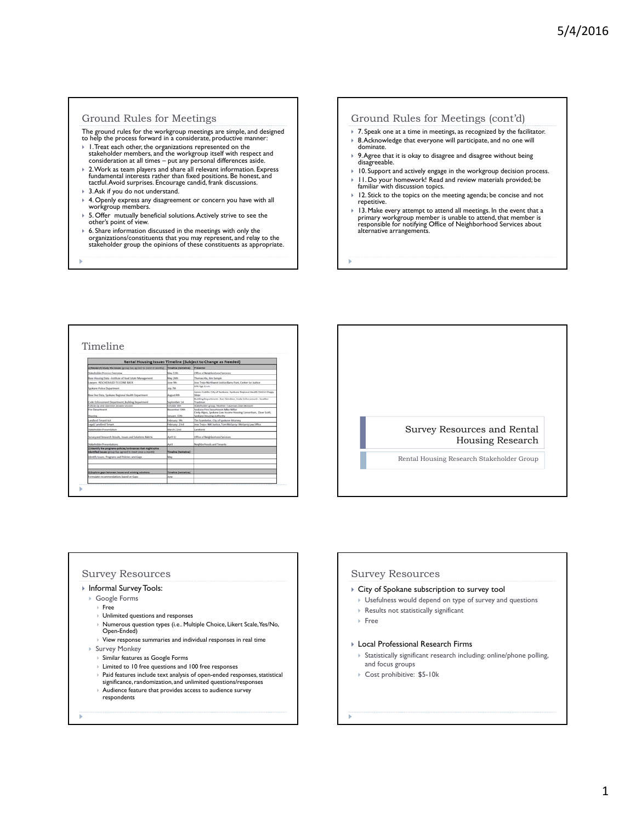### Ground Rules for Meetings

- The ground rules for the workgroup meetings are simple, and designed to help the process forward in a considerate, productive manner:
- 1. Treat each other, the organizations represented on the stakeholder members, and the workgroup itself with respect and consideration at all times put any personal differences aside.
- 2. Work as team players and share all relevant information. Express fundamental interests rather than fixed positions. Be honest, and<br>tactful. Avoid surprises. Encourage candid, frank discussions.
- 3. Ask if you do not understand.
- 4. Openly express any disagreement or concern you have with all workgroup members
- 5. Offer mutually beneficial solutions. Actively strive to see the other's point of view.
- 6. Share information discussed in the meetings with only the organizations/constituents that you may represent, and relay to the stakeholder group the opinions of these constituents as appropriate.

### Ground Rules for Meetings (cont'd)

- ▶ 7. Speak one at a time in meetings, as recognized by the facilitator.
- ▶ 8. Acknowledge that everyone will participate, and no one will dominate.
- 9. Agree that it is okay to disagree and disagree without being disagreeable.
- ▶ 10. Support and actively engage in the workgroup decision process.  $|11.$  Do your homework! Read and review materials provided; be familiar with discussion topics.
- ▶ 12. Stick to the topics on the meeting agenda; be concise and not repetitive.
- 13. Make every attempt to attend all meetings. In the event that a primary workgroup member is unable to attend, that member is responsible for notifying Office of Neighborhood Services about alternative arrangements.

# Timeline

| [1] Research/study the issues (group has agreed to meet bi-anokly)                                                           | Timalina (terristiva)                        | Pranantiac                                                                                                                         |
|------------------------------------------------------------------------------------------------------------------------------|----------------------------------------------|------------------------------------------------------------------------------------------------------------------------------------|
| Diskeholder Process Derryles                                                                                                 | May 12th                                     | Office of Neighborhood Services                                                                                                    |
| Basia Housing Data-Institute of Real Estate Management                                                                       | May 20th                                     | Thomas His, Kim Sample                                                                                                             |
| AWWY, RESCHEDULED TO COME BACK                                                                                               | <b>Duran Oth</b>                             | low Train-Ainsthuest Justice Barry Funt, Center for Justice                                                                        |
| <b>Sockane Police Department</b>                                                                                             | <b>Duty 7th</b>                              | SPD Set. Enviro                                                                                                                    |
| Base line Data, Spokane Regional Health Department                                                                           | <b>August Att</b>                            | James Cadille, City of Spokane, Spokane Regional Health District Peggy<br>Shder                                                    |
| Code Enforcement Department, Building Department                                                                             | leytember 1st                                | Building Department - Dan Mondoler, Code Enforcement - Heather<br>Traufotoan                                                       |
| College Uts and Charotings aroundy sensitive                                                                                 | Detailur úth.                                | Stakeholder group, Heather Trautman, Dan Skindom                                                                                   |
| <b>Fire Constituent</b><br><b>Novembra</b>                                                                                   | <b>Renominer</b> S3th<br><b>Sensory 12th</b> | Sockane Fox Department Mike Miller<br>Cindy Algen, Spokane Low Income Housing Consortium, Dave Scott,<br>looksne Housing Authority |
| andiced Tenant Art                                                                                                           | February 9th                                 | Tim Stambelan, City of Spokane Attorney.                                                                                           |
| <b>Aguil Landbird Tenant</b>                                                                                                 | February 23rd                                | lose Train-WW Justice, Tom McGarry- McGarry Law Office                                                                             |
| <b>Makeholder Presidentation</b>                                                                                             | March 22nd                                   | Leadings                                                                                                                           |
| burvey and Research Results, tosues and Solutions Matrix                                                                     | April 13                                     | Office of Neighborhood Services                                                                                                    |
| <b>Utskeholder Presentations</b>                                                                                             | <b>Port</b>                                  | Neighborhoods and Tenants                                                                                                          |
| Il identify the programs goldina/ordinances that might solve<br>discutified leases (group has agreed to meet once a stoutful | <b>Timeline Hentative!</b>                   |                                                                                                                                    |
| davidly limits. Programs and Policies, and Gaps.                                                                             | May                                          |                                                                                                                                    |
|                                                                                                                              |                                              |                                                                                                                                    |
| 1) Explore gaps hetween issues and existing solutions                                                                        | Timolina (tantativa)                         |                                                                                                                                    |
| formulate recommendations based on Gaps                                                                                      | hana                                         |                                                                                                                                    |



### Survey Resources

### Informal Survey Tools:

- Google Forms
- Free
- Unlimited questions and responses
- Numerous question types (i.e.. Multiple Choice, Likert Scale, Yes/No, Open-Ended)
- $\blacktriangleright$  View response summaries and individual responses in real time
- Survey Monkey
	- Similar features as Google Forms
	- Limited to 10 free questions and 100 free responses
	- Paid features include text analysis of open-ended responses, statistical
	- significance, randomization, and unlimited questions/responses
	- Audience feature that provides access to audience survey respondents

# Survey Resources

- City of Spokane subscription to survey tool
	- Usefulness would depend on type of survey and questions

### Results not statistically significant

Free

### Local Professional Research Firms

- Statistically significant research including: online/phone polling, and focus groups
- ▶ Cost prohibitive: \$5-10k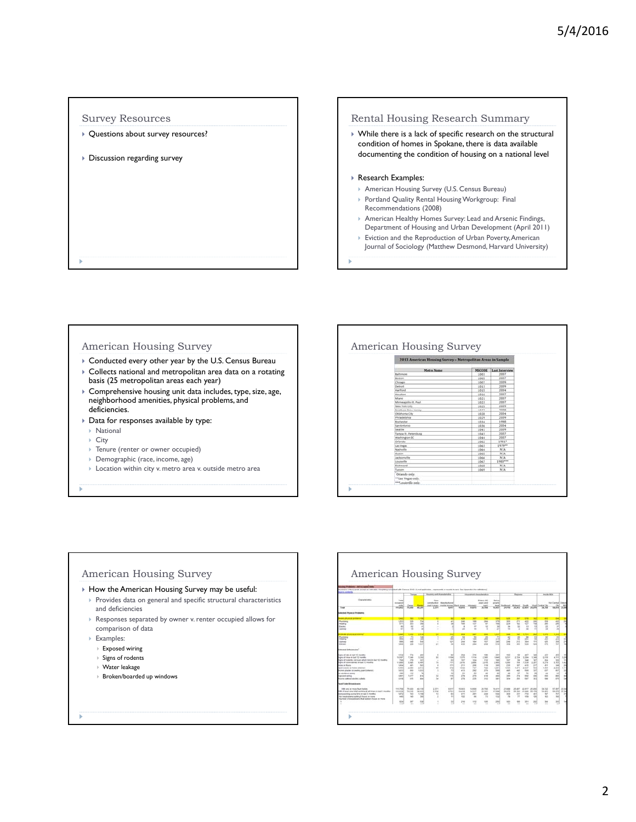# Survey Resources

- ▶ Questions about survey resources?
- Discussion regarding survey

# Rental Housing Research Summary

 While there is a lack of specific research on the structural condition of homes in Spokane, there is data available documenting the condition of housing on a national level

# ▶ Research Examples:

- American Housing Survey (U.S. Census Bureau)
- Portland Quality Rental Housing Workgroup: Final Recommendations (2008)
- American Healthy Homes Survey: Lead and Arsenic Findings, Department of Housing and Urban Development (April 2011)
- Eviction and the Reproduction of Urban Poverty, American Journal of Sociology (Matthew Desmond, Harvard University)

# American Housing Survey

- Conducted every other year by the U.S. Census Bureau
- Collects national and metropolitan area data on a rotating basis (25 metropolitan areas each year)
- Comprehensive housing unit data includes, type, size, age, neighborhood amenities, physical problems, and deficiencies.
- Data for responses available by type:
	- National
	- ▶ City
	- Tenure (renter or owner occupied)
	- Demographic (race, income, age)
- Location within city v. metro area v. outside metro area

# American Housing Survey MSCODE Last I

# American Housing Survey

- How the American Housing Survey may be useful:
	- Provides data on general and specific structural characteristics and deficiencies
	- Responses separated by owner v. renter occupied allows for comparison of data
	- ▶ Examples:
		- Exposed wiring
		- $\triangleright$  Signs of rodents
		- Water leakage
		- Broken/boarded up windows

| <b>Liverpoon</b>                                                                                    |                           |                          |                      | mown in thousands, sicapl as initizated megmeng-construct with Cartous 39.93 (Fund application - represents or markets to ours. See Apparviso 4 for definitional |                                                                |                                                        |                          |                                         |                                 |                             |                       |                                   |                              |                                   |                                          |                         |
|-----------------------------------------------------------------------------------------------------|---------------------------|--------------------------|----------------------|------------------------------------------------------------------------------------------------------------------------------------------------------------------|----------------------------------------------------------------|--------------------------------------------------------|--------------------------|-----------------------------------------|---------------------------------|-----------------------------|-----------------------|-----------------------------------|------------------------------|-----------------------------------|------------------------------------------|-------------------------|
| Characteristics                                                                                     | Total                     | <b>Letters</b>           |                      | Houston, and that when they<br><b>State</b>                                                                                                                      |                                                                | Household the schedule<br>Elsbefo (65)<br><b>Below</b> |                          |                                         |                                 | <b>Negross</b>              |                       |                                   |                              | <b>Insula MGA</b>                 |                                          |                         |
| Total                                                                                               | arcured.<br>HEAL          | Daniel<br>74,650         | 85.39                | <b>AMERICA</b><br>2.179                                                                                                                                          | intelnidon illunutatural<br>mainle homes. Black alone<br>6.817 | 46,696                                                 | <b>History</b><br>14,675 | <b>HORN AND</b><br><b>DOM</b><br>36,764 | power<br><b>Stude</b><br>14,417 | Stofbaugh<br>24,816         | <b>Hitlerid</b>       | Small <sub>1</sub><br>PL842 ALMIE | 29.879                       | <b>Warel Cardon Co.</b><br>34,758 | <b>Hof Carmal Dobrid</b><br>56,654 23,66 |                         |
| <b>Welled Physical Problems</b>                                                                     |                           |                          |                      |                                                                                                                                                                  |                                                                |                                                        |                          |                                         |                                 |                             |                       |                                   |                              |                                   |                                          |                         |
| are plusing produced<br><b>Numbers</b>                                                              | <b>THE</b><br>1,912       | m<br><b>KSN</b>          | <b>THE</b><br>724    | ٠<br>٠                                                                                                                                                           | <b>AV</b>                                                      | m<br>241                                               | w<br><b>Han</b>          | w<br>244                                | 279                             | ٠<br><b>SHE</b>             | ×<br>274              | ٠<br>$\overline{422}$             | SOM                          | m<br><b>ARE</b>                   | <b>CC</b>                                | $\frac{1}{2}$           |
| <b>Healthca</b><br>Electric                                                                         | 874<br>$\mathbf{H}$       | int<br>$^{16}$           | 164<br>×             | ٠                                                                                                                                                                | w                                                              | $\frac{1}{2}$<br>٠                                     | 137<br>$\leftrightarrow$ | w<br>u                                  | <b>HE</b><br>×                  | 104<br>$\rightarrow$        | w<br>×                | 927<br>$+1$                       | 118<br>13                    | 2MW<br>$\overline{1}$             | 20ml<br>×                                |                         |
| <b>DESPERT</b>                                                                                      | $\sim$                    | $\rightarrow$            | <b>ALC</b>           | ٠                                                                                                                                                                |                                                                | $\rightarrow$                                          | $\overline{\phantom{a}}$ | ٠                                       | 3H                              | $\rightarrow$               | ٠                     | $\mathbf{a}$                      | m                            | $\mathcal{L}$                     | $\sim$                                   |                         |
| --<br>---                                                                                           | 1,640                     | 1,412                    | 2,314                | ٠                                                                                                                                                                | m                                                              |                                                        | ٠                        |                                         | 3,237                           |                             | w                     |                                   | m                            | 1,479                             | <b>Cand</b>                              |                         |
| Photograph<br><b>Healing</b>                                                                        | 221<br><b>DOR</b>         | 73<br><b>E11</b>         | tant.<br>teil        | т<br>٠                                                                                                                                                           | 21<br>148                                                      | <b>TA</b><br>278                                       | 80<br>the                | 36<br>288                               | 71<br>173                       | $\alpha$<br>$^{24}$         | 28<br>ü               | $\overline{1}$<br>sit             | <b>ES</b><br>10 <sup>2</sup> | $\overline{u}$<br>247             | m<br>201                                 | m                       |
| Librarie<br>sister.                                                                                 | <b>SM</b><br>1,666        | <b>ART</b><br>10k        | <b>Said</b><br>4,637 | $\sim$<br>$\mathbf{r}$                                                                                                                                           | vzi.<br>$^{16}$                                                | 244<br>ess.                                            | <b>Mag</b><br>784        | 427<br>298                              | <b>Sale</b><br>688              | 244<br>m                    | 242<br>$\rightarrow$  | <b>You</b><br><b>STA</b>          | sivil<br><b>Kind</b>         | APR 1<br>APR .                    | <b>SKA</b><br><b>Turn</b>                | 215<br>w                |
| started Salesmann's                                                                                 |                           |                          |                      |                                                                                                                                                                  |                                                                |                                                        |                          |                                         |                                 |                             |                       |                                   |                              |                                   |                                          |                         |
| and of this is half 12 months.                                                                      | case)                     | <b>STA</b>               | 45H                  | $\sim$                                                                                                                                                           | mid                                                            | <b>Chief</b>                                           | 711                      | 135                                     | 267                             | <b>TOT</b>                  | <b>Till</b>           | $+0.7$                            | 54H                          | 402                               | AND .                                    |                         |
| came of more or basil 12 months.<br>sales of textents, mot more whelet tond in taxit 12 Houston     | 10.507<br>THE             | 7,249<br>224             | 3,316<br>32Y         | ×<br>$\sim$                                                                                                                                                      | it vas<br>$+1$                                                 | 1,579<br>$^{12}$                                       | <b>KYN</b><br><b>STA</b> | 2.244<br>112                            | 1.549<br><b>TEL</b>             | 3,211<br><b>NO</b>          | 2.729<br>$\mathbf{u}$ | 1294<br>348                       | 1,546<br><b>NO</b>           | 2,616<br>264                      | 4791<br>$\frac{1}{2}$                    | 3.201<br>11             |
| area of codersaches in last 12 months.                                                              | 11,896                    | 5,445                    | 4,408                | 'n                                                                                                                                                               | 741                                                            | 3,618                                                  | 3,886                    | $2.2 + 6.$                              | 2.946                           | 4,244                       | 764                   | 7938                              | 1,267                        | 5,276                             | 6,9830                                   | 5.42                    |
| play as Noons<br>green conscious and financial communication                                        | 1,054<br>1,163            | ai+<br>2.588             | 541<br>3.513         | ٠<br>×                                                                                                                                                           | <b>HEN</b><br>352                                              | 211<br>1,532                                           | <b>Disk</b><br>147       | $+10$<br>744                            | <b>Jet</b><br>1,281             | <b>TH</b><br>1,948          | w<br><b>LEFT</b>      | $+11$<br>2.337                    | 717<br>bas                   | $+64$<br>1,916                    | 348<br>3,524                             | 25<br>1.111             |
| coven plaster or peaking paint retented.                                                            | 1,623                     | <b>KIN</b>               | 1,803                | э                                                                                                                                                                | $^{+1}$                                                        | <b>WES</b>                                             | 282                      | 272                                     | hes.                            | <b>AP</b>                   | $+41$                 | to                                | 227                          | <b>AST</b>                        | Md <sup>2</sup>                          | 12                      |
| <b>Links Broad Avenue</b>                                                                           | 194                       | $7 + 1$                  | 74                   | $\sim$                                                                                                                                                           | ÷                                                              | 18                                                     | $\rightarrow$            | $\rightarrow$                           | ×                               | ×                           | w                     | ×                                 | ×                            | $\overline{a}$                    | <b>A</b>                                 | ×                       |
| <b>IDENT WITH</b><br>lished authors' started to shall.                                              | 1,895<br>1,616            | $+817$<br>ast.           | sid.<br>m            | $\overline{1}$<br><b>Sec</b>                                                                                                                                     | 718<br>$\mathbf{r}$                                            | 228<br>278                                             | 278<br>210               | <b>ATA</b><br><b>TTE</b>                | and<br><b>SET</b>               | $\frac{1}{2}$<br><b>SSA</b> | 574<br>the            | ser<br>tar                        | 436<br>tet il                | ARC<br>tor                        | sec.<br>AP6                              | 4H<br><b>Saf</b>        |
| lank Traine Breaksboards                                                                            |                           |                          |                      |                                                                                                                                                                  |                                                                |                                                        |                          |                                         |                                 |                             |                       |                                   |                              |                                   |                                          |                         |
| strate area or move flourt-bullets.<br>petition 2 has no cambia la la gratica fallal any has the AB | <b>+15.756</b><br>112,634 | <b>16.635</b><br>14, 246 | $62 + 196$<br>MADE   | E.SPH<br>2.336                                                                                                                                                   | 0.917<br>A.761                                                 | 18, 20.5<br>16,616                                     | 14,508<br>14,347         | 29,784<br>36, 181                       | 10.411<br><b>AT GRAY</b>        | 21,008<br>30.476            | 16,687<br>16.300      | 42.957<br>an east                 | 25, 204<br>25.574            | 14,715<br>14,543                  | 11,667<br>56.676                         | <b>F1 fel</b><br>33,546 |
| to be available of a print a british of the anti-                                                   | 1,872                     | 745                      | 1,106                | $\overline{1}$                                                                                                                                                   | <b>AN</b>                                                      | 4H                                                     | 244                      | 244                                     | 544                             | MH                          | 551                   | 114                               | et t                         | 18.7                              | 141                                      | ×                       |
| to breakdowns lasting 5 hours or more<br>fourtees of breakdowns that lasted & hours or more.        | A41                       | <b>Sal</b>               | <b>Seal</b>          | ı                                                                                                                                                                | $+1$                                                           | $-11$                                                  | $\rightarrow$            | 73                                      | 132                             | $\sim$                      | т                     | 116                               | <b>SIM</b>                   | 187                               | 164                                      |                         |
|                                                                                                     | 534                       | 10 <sup>2</sup>          | 12M                  |                                                                                                                                                                  | m                                                              | 258                                                    | 112                      | $+10$                                   | 198                             | 161                         | 189                   | 101                               | <b>DEE</b><br>w              | 304                               | ted                                      |                         |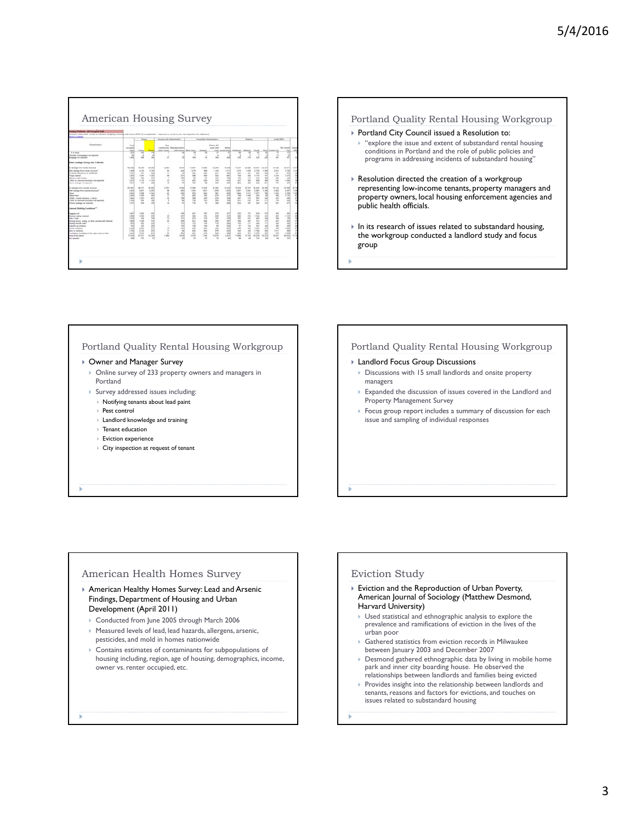|                                                                                                                                                                                                                                                                                                       |                                                                                                     | <b>Tartune</b>                                                                                    |                                                                                                           |                                                                                                | (Get) in Standalili, Asingl an informed Winghang companies with Canava (915). (I) het applicable, - represents or results to be in Sea Apparents A for individuals)<br>Royalty and characteristics<br>Household characteristics |                                                                                   |                                                                                                                   |                                                                                               |                                                                                      |                                                                                                                            | <b>Fagiers</b>                                                                                                |                                                                                                                | <b>Brainfer Address</b>                                                                            |                                                                                               |                                                                                                      |                                 |
|-------------------------------------------------------------------------------------------------------------------------------------------------------------------------------------------------------------------------------------------------------------------------------------------------------|-----------------------------------------------------------------------------------------------------|---------------------------------------------------------------------------------------------------|-----------------------------------------------------------------------------------------------------------|------------------------------------------------------------------------------------------------|---------------------------------------------------------------------------------------------------------------------------------------------------------------------------------------------------------------------------------|-----------------------------------------------------------------------------------|-------------------------------------------------------------------------------------------------------------------|-----------------------------------------------------------------------------------------------|--------------------------------------------------------------------------------------|----------------------------------------------------------------------------------------------------------------------------|---------------------------------------------------------------------------------------------------------------|----------------------------------------------------------------------------------------------------------------|----------------------------------------------------------------------------------------------------|-----------------------------------------------------------------------------------------------|------------------------------------------------------------------------------------------------------|---------------------------------|
| Owndership                                                                                                                                                                                                                                                                                            | Total<br>minuted<br>old in                                                                          | <b>Sena</b>                                                                                       |                                                                                                           | <b>Since</b><br><b>Jold 4 years</b>                                                            | contractor Standardardin                                                                                                                                                                                                        | civia homes. Shark above                                                          |                                                                                                                   | Elmen, dil.<br><b>UNES AND</b>                                                                | <b>Date:</b><br><b>DACLARMS SHA</b>                                                  |                                                                                                                            |                                                                                                               |                                                                                                                | met                                                                                                | <b>Cardial</b>                                                                                | <b>Red Contral</b> Chief                                                                             | m                               |
| \$ or stare<br>builder of disappears not reported<br>between hit repeated                                                                                                                                                                                                                             | ь<br>ы<br>1,544                                                                                     | w<br>٠<br>m                                                                                       | ×<br>si                                                                                                   | ٠<br>$\overline{a}$                                                                            |                                                                                                                                                                                                                                 | w                                                                                 | $\frac{1}{2}$                                                                                                     | 308                                                                                           |                                                                                      | 236                                                                                                                        | 256                                                                                                           | in                                                                                                             |                                                                                                    | ü<br>w                                                                                        | 嶺<br><b>u</b><br>self                                                                                |                                 |
| <b>Fater Laskage Daring Last 12 Months</b>                                                                                                                                                                                                                                                            |                                                                                                     |                                                                                                   |                                                                                                           |                                                                                                |                                                                                                                                                                                                                                 |                                                                                   |                                                                                                                   |                                                                                               |                                                                                      |                                                                                                                            |                                                                                                               |                                                                                                                |                                                                                                    |                                                                                               |                                                                                                      |                                 |
| a bakage from inicide directors<br>Mr. business Fort mode attractors.<br>object tacked up or mechanic<br><b>Trans Indiana</b><br><b>Sidest outle healer</b><br>The at unkness (michales nd equined)<br>later leakage not reported                                                                     | 106, 742<br>7.836<br>1.827<br>3,301<br><b>RM</b><br>2,220<br>1,367                                  | 11, 136<br>4.136<br>$^{46}$<br>1.988<br><b>SOF</b><br>1.119<br><b>WW</b>                          | 36,326<br>3.794<br>m<br>1,040<br>.twi<br>1,123<br><b>SEC</b>                                              | 2,261<br>w<br>÷<br>u<br>×<br>×<br>$\rightarrow$                                                | KANE<br>ste<br>$\overline{z}$<br>m<br>w<br>w<br>$\overline{\phantom{a}}$                                                                                                                                                        | 10,407<br>1419<br>356<br>100<br>×<br>$+25$<br>199                                 | 11.446<br><b>SEE</b><br>$^{16}$<br><b>HER</b><br>$\sim$<br>128<br>$\rightarrow$                                   | 24, 281<br>1.142<br>228<br>siz<br>1ai<br>108<br>108                                           | 16, 616<br><b>SAFE</b><br><b>Sept</b><br>44f<br><b>Vol</b><br>$+14$<br>$-$           | 94, 317<br>1,619<br>323<br>TO:<br>122<br>$+17$<br>m                                                                        | <b>23 626</b><br>7.706<br>$+11$<br><b>COL</b><br>$+11$<br>104<br><b>Jose</b>                                  | 38.673<br>2,736<br>662<br>2.95<br><b>YE</b><br>tion.<br>$\overline{1}$                                         | 23,707<br><b>A Mark</b><br><b>CH</b><br>$\overline{a}$<br>m<br>$\frac{1}{2}$<br><b>Dist</b>        | 1112<br>2.811<br>721<br>$+214$<br><b>AM</b><br><b>TH</b><br>m                                 | <b>SERVEL</b><br>1,760<br><b>MAIL</b><br>1.215<br>416<br>$+200$<br>gar!                              | 21.41<br>131                    |
| ir kalkaga Tott outside situature<br>We learning them materials intractors!<br>Seamuld<br>liab, closel actions, at doze<br>The at attempt (mitules not supported)<br>Service has teacher system                                                                                                       | vice due of<br>3,414<br>A MO<br>3.448<br>1,544<br><b>T.XM</b><br>1,237                              | 49,234<br>5,407<br>1,248<br>1,915<br>1,823<br><b>Wid</b><br>tel to                                | 36,300<br>z mi<br>1 kg<br>m<br>w<br>w<br>m                                                                | 1207<br>w<br>ü<br>÷<br>×<br>٠<br>×                                                             | 6.162<br>seri<br><b>GH</b><br>×<br><b>CHE</b><br>ü<br>$\sim$                                                                                                                                                                    | 12,206<br>1.534<br><b>VS</b><br>282<br>108<br>126<br>iii                          | 13,688<br>1,411<br><b>SAF</b><br>top<br><b>ISS</b><br>ini.<br>×                                                   | 34,580<br>1,676<br><b>MIT</b><br>178<br>176<br>208<br>$^{16}$                                 | 16,626<br>1,652<br><b>SER</b><br>279<br>w<br>$\sim$<br>m                             | 14, 219<br>2.287<br>1,364<br>748<br>at i<br>$^{24+}$<br>201                                                                | 10,747<br>2.845<br>1,911<br>1,346<br>4TI<br>24<br>$\frac{1}{2}$                                               | <b>Build</b><br>2.963<br>9.877<br>24<br>net<br>281<br>kg                                                       | 26,296<br>1,346<br>mi<br>ü<br>m<br>pot<br>241                                                      | <b>TEAM</b><br>2.982<br>0.534<br><b>CELL</b><br>K11<br>718<br>101                             | <b>CLIMAL</b><br>4.487<br>4,236<br>1, 2.9%<br><b>ME</b><br>$-14$<br>ev)                              | 26.74<br>1.16<br>1.04<br>×<br>× |
| started Balding Conditions" 1                                                                                                                                                                                                                                                                         |                                                                                                     |                                                                                                   |                                                                                                           |                                                                                                |                                                                                                                                                                                                                                 |                                                                                   |                                                                                                                   |                                                                                               |                                                                                      |                                                                                                                            |                                                                                                               |                                                                                                                |                                                                                                    |                                                                                               |                                                                                                      |                                 |
| <b>Automobile</b><br>very nating means!<br><b><i>DEA AT ANY</i></b><br>stony books, andrey, as other outside and instantal<br>sing terioris wate<br>carteri co interesa<br>token seinteer<br>ars art adobasi<br>suintenan prunning to has open crack or bole<br>ma of the about<br><b>Instruction</b> | 1. And<br>2,868<br>tint<br>1,907<br>m<br>$\sim$<br>2.934<br>3,790<br>3.601<br>meed<br>$\rightarrow$ | 1,862<br>3.192<br>$^{+}$<br>1,349<br><b>AM</b><br>435<br>1.996<br>3.933<br>7.65<br>41, 523<br>270 | 400<br>sini<br>m<br><b>Kind</b><br>13.1<br><b>Inch</b><br>w<br><b>ATM</b><br>m<br>kg land<br>$\mathbb{R}$ | ٠<br>$\overline{a}$<br>u<br>$\overline{z}$<br>-<br>٠<br>w<br>$\overline{a}$<br>×<br>1,804<br>- | test<br>m<br>w<br>mai<br>121<br><b>CALL</b><br>m<br>w<br>164<br>5.61M<br>w                                                                                                                                                      | <b>Salt</b><br>108<br>117<br>$+1$<br>110<br>136<br>126<br>NH<br>iis<br>6.574<br>٠ | <b>HE</b><br><b>HA</b><br><b>TOR</b><br><b>Inc.</b><br><b>Via</b><br>tak<br>m<br>hant.<br>116<br>T Isk<br>$^{16}$ | 279<br>A16<br>w<br>108<br>$+10$<br>$\blacksquare$<br>$+11$<br>478<br><b>MR</b><br>vuiria<br>× | m<br><b>SEE</b><br>14.4<br>$\rightarrow$<br>19.4<br>m<br>ш<br>456<br>ü<br>6,214<br>× | m<br>$\frac{1}{2}$<br>w<br>339<br>w<br>$\ddot{\phantom{1}}$<br>$\rightarrow$<br>w<br>654<br><b>71,836</b><br>$\rightarrow$ | 100<br>All a<br><b>John</b><br>$\leftrightarrow$<br>211<br>$^{12}$<br><b>Gat</b><br>386<br>471<br>or vas<br>× | <b>H</b><br>1.54<br>$^{+}$<br><b>Ref</b><br><b>Sec</b><br>36<br>129<br>$-144$<br>1,274<br>28,239<br><b>TER</b> | <b>STAR</b><br>66<br><b>Sell</b><br>m<br>ST1<br>$\sim$<br>kel.<br>SGL<br>in 1<br><b>VEATH</b><br>w | <b>Half</b><br>407<br>200<br>481<br>346<br>224<br>7md<br>1,811<br>971<br>W347<br>$\mathbf{u}$ | <b>SH</b><br>1.142<br>m<br>stil.<br><b>Self</b><br>281<br>$+300$<br>400<br>$+ 1481$<br>as next<br>NF | $\sim$<br>×<br>VI 68            |

## Portland Quality Rental Housing Workgroup

- ▶ Portland City Council issued a Resolution to: "explore the issue and extent of substandard rental housing conditions in Portland and the role of public policies and programs in addressing incidents of substandard housing"
- $\blacktriangleright$  Resolution directed the creation of a workgroup representing low-income tenants, property managers and property owners, local housing enforcement agencies and public health officials.
- $\blacktriangleright$  In its research of issues related to substandard housing, the workgroup conducted a landlord study and focus group

# Portland Quality Rental Housing Workgroup

### ▶ Owner and Manager Survey

- Online survey of 233 property owners and managers in Portland
- Survey addressed issues including:
- $\triangleright$  Notifying tenants about lead paint
- ▶ Pest control
- Landlord knowledge and training
- $\blacktriangleright$  Tenant education
- Eviction experience
- City inspection at request of tenant

# Portland Quality Rental Housing Workgroup

### Landlord Focus Group Discussions

- Discussions with 15 small landlords and onsite property managers
- Expanded the discussion of issues covered in the Landlord and Property Management Survey
- Focus group report includes a summary of discussion for each issue and sampling of individual responses

### American Health Homes Survey

- American Healthy Homes Survey: Lead and Arsenic Findings, Department of Housing and Urban Development (April 2011)
	- ▶ Conducted from June 2005 through March 2006
	- Measured levels of lead, lead hazards, allergens, arsenic, pesticides, and mold in homes nationwide
- Contains estimates of contaminants for subpopulations of housing including, region, age of housing, demographics, income, owner vs. renter occupied, etc.

# Eviction Study

- Eviction and the Reproduction of Urban Poverty, American Journal of Sociology (Matthew Desmond, Harvard University)
- Used statistical and ethnographic analysis to explore the prevalence and ramifications of eviction in the lives of the urban poor
- Gathered statistics from eviction records in Milwaukee between January 2003 and December 2007
- Desmond gathered ethnographic data by living in mobile home park and inner city boarding house. He observed the relationships between landlords and families being evicted
- $\triangleright$  Provides insight into the relationship between landlords and tenants, reasons and factors for evictions, and touches on issues related to substandard housing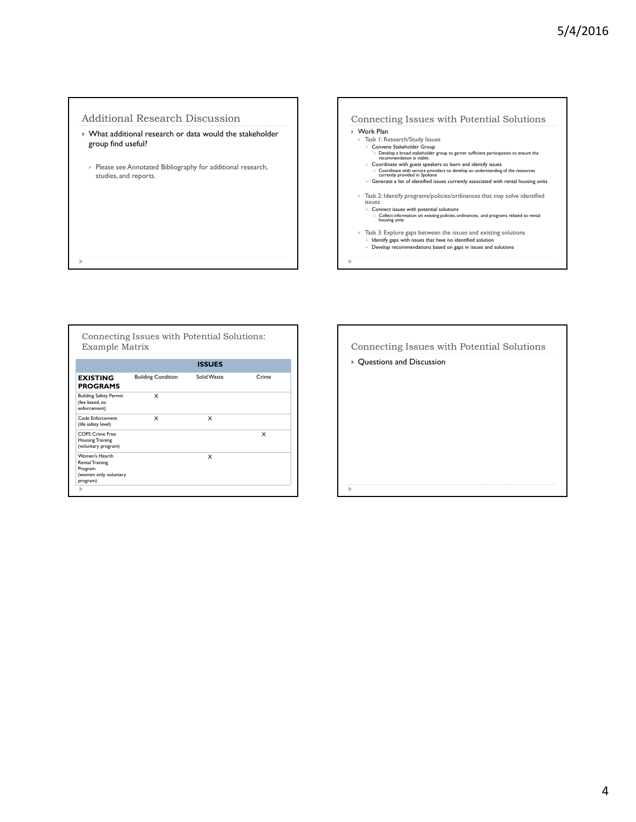# Additional Research Discussion

- What additional research or data would the stakeholder group find useful?
- Please see Annotated Bibliography for additional research, studies, and reports.



|                                                                                           | <b>ISSUES</b>             |             |       |  |  |  |  |  |  |
|-------------------------------------------------------------------------------------------|---------------------------|-------------|-------|--|--|--|--|--|--|
| <b>EXISTING</b><br><b>PROGRAMS</b>                                                        | <b>Building Condition</b> | Solid Waste | Crime |  |  |  |  |  |  |
| <b>Building Safety Permit</b><br>(fee based, no<br>enforcement)                           | x                         |             |       |  |  |  |  |  |  |
| Code Enforcement<br>(life safety level)                                                   | x                         | x           |       |  |  |  |  |  |  |
| <b>COPS Crime Free</b><br><b>Housing Training</b><br>(voluntary program)                  |                           |             | x     |  |  |  |  |  |  |
| Women's Hearth<br><b>Rental Training</b><br>Program<br>(women only, voluntary<br>program) |                           | x           |       |  |  |  |  |  |  |

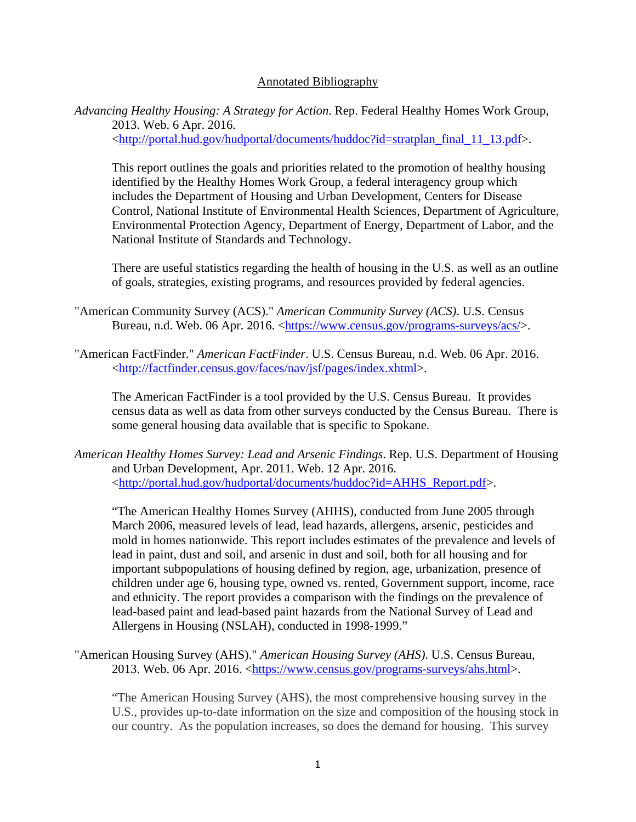# Annotated Bibliography

*Advancing Healthy Housing: A Strategy for Action*. Rep. Federal Healthy Homes Work Group, 2013. Web. 6 Apr. 2016. <http://portal.hud.gov/hudportal/documents/huddoc?id=stratplan\_final\_11\_13.pdf>.

This report outlines the goals and priorities related to the promotion of healthy housing identified by the Healthy Homes Work Group, a federal interagency group which includes the Department of Housing and Urban Development, Centers for Disease Control, National Institute of Environmental Health Sciences, Department of Agriculture, Environmental Protection Agency, Department of Energy, Department of Labor, and the National Institute of Standards and Technology.

There are useful statistics regarding the health of housing in the U.S. as well as an outline of goals, strategies, existing programs, and resources provided by federal agencies.

- "American Community Survey (ACS)." *American Community Survey (ACS)*. U.S. Census Bureau, n.d. Web. 06 Apr. 2016. <https://www.census.gov/programs-surveys/acs/>.
- "American FactFinder." *American FactFinder*. U.S. Census Bureau, n.d. Web. 06 Apr. 2016. <http://factfinder.census.gov/faces/nav/jsf/pages/index.xhtml>.

The American FactFinder is a tool provided by the U.S. Census Bureau. It provides census data as well as data from other surveys conducted by the Census Bureau. There is some general housing data available that is specific to Spokane.

*American Healthy Homes Survey: Lead and Arsenic Findings*. Rep. U.S. Department of Housing and Urban Development, Apr. 2011. Web. 12 Apr. 2016. <http://portal.hud.gov/hudportal/documents/huddoc?id=AHHS\_Report.pdf>.

"The American Healthy Homes Survey (AHHS), conducted from June 2005 through March 2006, measured levels of lead, lead hazards, allergens, arsenic, pesticides and mold in homes nationwide. This report includes estimates of the prevalence and levels of lead in paint, dust and soil, and arsenic in dust and soil, both for all housing and for important subpopulations of housing defined by region, age, urbanization, presence of children under age 6, housing type, owned vs. rented, Government support, income, race and ethnicity. The report provides a comparison with the findings on the prevalence of lead-based paint and lead-based paint hazards from the National Survey of Lead and Allergens in Housing (NSLAH), conducted in 1998-1999."

"American Housing Survey (AHS)." *American Housing Survey (AHS)*. U.S. Census Bureau, 2013. Web. 06 Apr. 2016. <https://www.census.gov/programs-surveys/ahs.html>.

"The American Housing Survey (AHS), the most comprehensive housing survey in the U.S., provides up-to-date information on the size and composition of the housing stock in our country. As the population increases, so does the demand for housing. This survey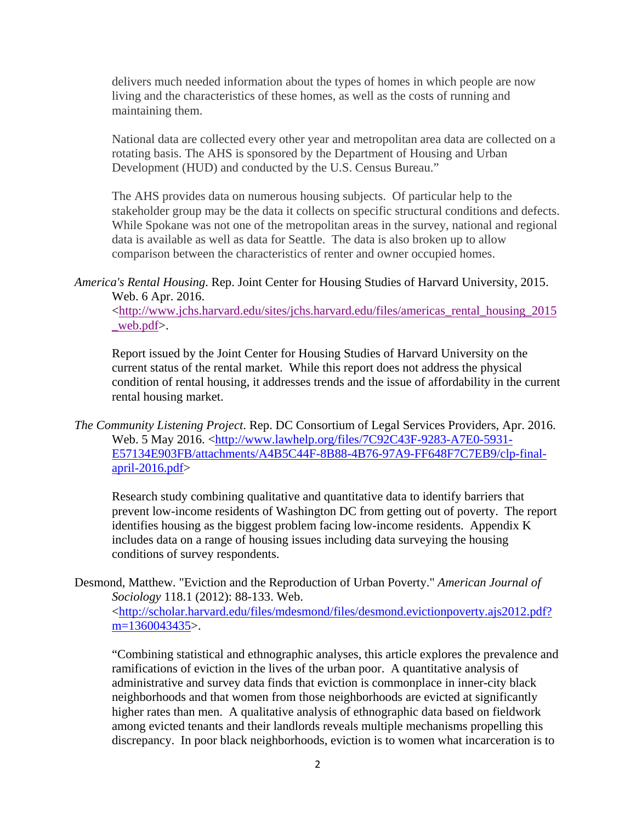delivers much needed information about the types of homes in which people are now living and the characteristics of these homes, as well as the costs of running and maintaining them.

National data are collected every other year and metropolitan area data are collected on a rotating basis. The AHS is sponsored by the Department of Housing and Urban Development (HUD) and conducted by the U.S. Census Bureau."

The AHS provides data on numerous housing subjects. Of particular help to the stakeholder group may be the data it collects on specific structural conditions and defects. While Spokane was not one of the metropolitan areas in the survey, national and regional data is available as well as data for Seattle. The data is also broken up to allow comparison between the characteristics of renter and owner occupied homes.

<http://www.jchs.harvard.edu/sites/jchs.harvard.edu/files/americas\_rental\_housing\_2015 \_web.pdf>.

Report issued by the Joint Center for Housing Studies of Harvard University on the current status of the rental market. While this report does not address the physical condition of rental housing, it addresses trends and the issue of affordability in the current rental housing market.

*The Community Listening Project*. Rep. DC Consortium of Legal Services Providers, Apr. 2016. Web. 5 May 2016. <http://www.lawhelp.org/files/7C92C43F-9283-A7E0-5931- E57134E903FB/attachments/A4B5C44F-8B88-4B76-97A9-FF648F7C7EB9/clp-finalapril-2016.pdf>

Research study combining qualitative and quantitative data to identify barriers that prevent low-income residents of Washington DC from getting out of poverty. The report identifies housing as the biggest problem facing low-income residents. Appendix K includes data on a range of housing issues including data surveying the housing conditions of survey respondents.

Desmond, Matthew. "Eviction and the Reproduction of Urban Poverty." *American Journal of Sociology* 118.1 (2012): 88-133. Web. <http://scholar.harvard.edu/files/mdesmond/files/desmond.evictionpoverty.ajs2012.pdf?

m=1360043435>.

"Combining statistical and ethnographic analyses, this article explores the prevalence and ramifications of eviction in the lives of the urban poor. A quantitative analysis of administrative and survey data finds that eviction is commonplace in inner-city black neighborhoods and that women from those neighborhoods are evicted at significantly higher rates than men. A qualitative analysis of ethnographic data based on fieldwork among evicted tenants and their landlords reveals multiple mechanisms propelling this discrepancy. In poor black neighborhoods, eviction is to women what incarceration is to

*America's Rental Housing*. Rep. Joint Center for Housing Studies of Harvard University, 2015. Web. 6 Apr. 2016.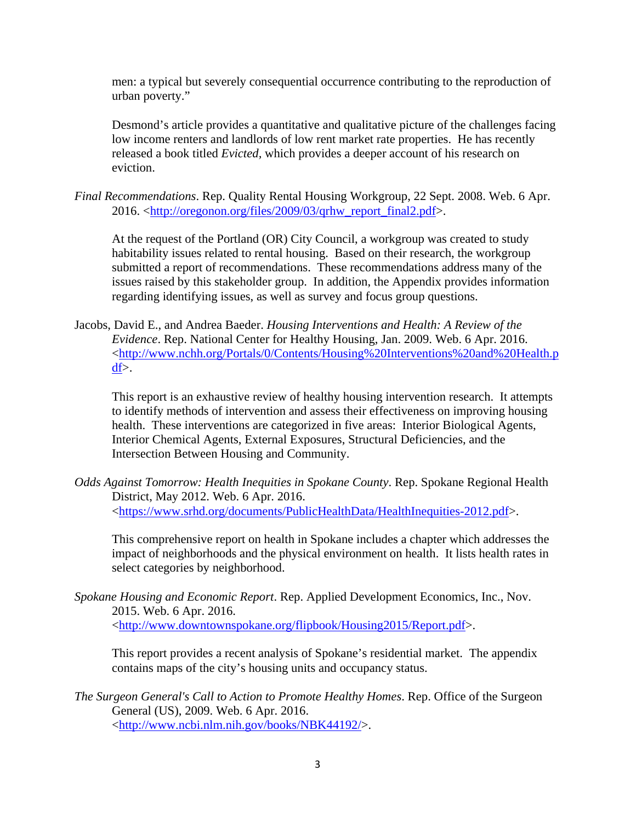men: a typical but severely consequential occurrence contributing to the reproduction of urban poverty."

Desmond's article provides a quantitative and qualitative picture of the challenges facing low income renters and landlords of low rent market rate properties. He has recently released a book titled *Evicted,* which provides a deeper account of his research on eviction.

*Final Recommendations*. Rep. Quality Rental Housing Workgroup, 22 Sept. 2008. Web. 6 Apr. 2016. <http://oregonon.org/files/2009/03/qrhw\_report\_final2.pdf>.

At the request of the Portland (OR) City Council, a workgroup was created to study habitability issues related to rental housing. Based on their research, the workgroup submitted a report of recommendations. These recommendations address many of the issues raised by this stakeholder group. In addition, the Appendix provides information regarding identifying issues, as well as survey and focus group questions.

Jacobs, David E., and Andrea Baeder. *Housing Interventions and Health: A Review of the Evidence*. Rep. National Center for Healthy Housing, Jan. 2009. Web. 6 Apr. 2016. <http://www.nchh.org/Portals/0/Contents/Housing%20Interventions%20and%20Health.p df>.

This report is an exhaustive review of healthy housing intervention research. It attempts to identify methods of intervention and assess their effectiveness on improving housing health. These interventions are categorized in five areas: Interior Biological Agents, Interior Chemical Agents, External Exposures, Structural Deficiencies, and the Intersection Between Housing and Community.

*Odds Against Tomorrow: Health Inequities in Spokane County*. Rep. Spokane Regional Health District, May 2012. Web. 6 Apr. 2016. <https://www.srhd.org/documents/PublicHealthData/HealthInequities-2012.pdf>.

This comprehensive report on health in Spokane includes a chapter which addresses the impact of neighborhoods and the physical environment on health. It lists health rates in select categories by neighborhood.

*Spokane Housing and Economic Report*. Rep. Applied Development Economics, Inc., Nov. 2015. Web. 6 Apr. 2016. <http://www.downtownspokane.org/flipbook/Housing2015/Report.pdf>.

This report provides a recent analysis of Spokane's residential market. The appendix contains maps of the city's housing units and occupancy status.

*The Surgeon General's Call to Action to Promote Healthy Homes*. Rep. Office of the Surgeon General (US), 2009. Web. 6 Apr. 2016. <http://www.ncbi.nlm.nih.gov/books/NBK44192/>.